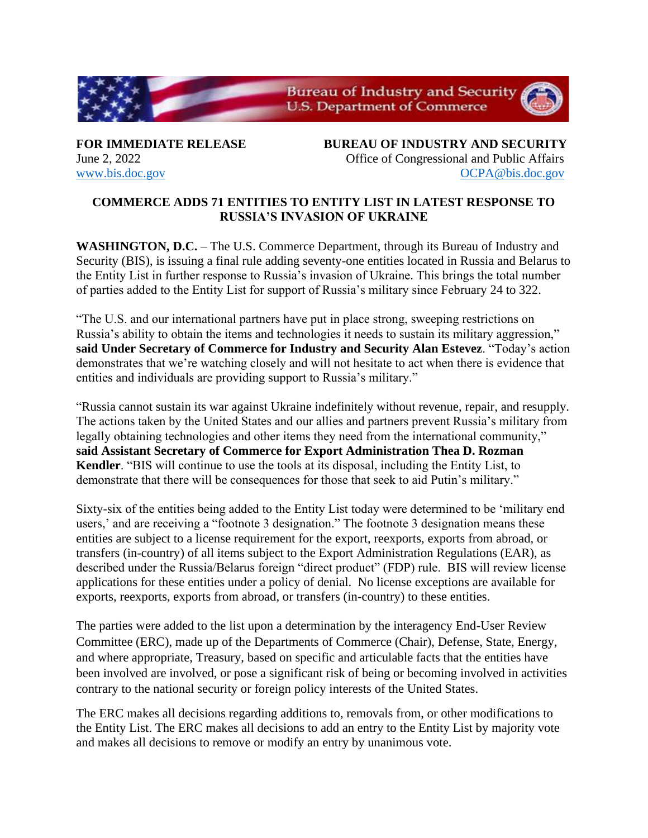

**FOR IMMEDIATE RELEASE BUREAU OF INDUSTRY AND SECURITY** June 2, 2022 Office of Congressional and Public Affairs [www.bis.doc.gov](http://www.bis.doc.gov/) [OCPA@bis.doc.gov](mailto:OCPA@bis.doc.gov)

## **COMMERCE ADDS 71 ENTITIES TO ENTITY LIST IN LATEST RESPONSE TO RUSSIA'S INVASION OF UKRAINE**

**WASHINGTON, D.C.** – The U.S. Commerce Department, through its Bureau of Industry and Security (BIS), is issuing a final rule adding seventy-one entities located in Russia and Belarus to the Entity List in further response to Russia's invasion of Ukraine. This brings the total number of parties added to the Entity List for support of Russia's military since February 24 to 322.

"The U.S. and our international partners have put in place strong, sweeping restrictions on Russia's ability to obtain the items and technologies it needs to sustain its military aggression," **said Under Secretary of Commerce for Industry and Security Alan Estevez**. "Today's action demonstrates that we're watching closely and will not hesitate to act when there is evidence that entities and individuals are providing support to Russia's military."

"Russia cannot sustain its war against Ukraine indefinitely without revenue, repair, and resupply. The actions taken by the United States and our allies and partners prevent Russia's military from legally obtaining technologies and other items they need from the international community," **said Assistant Secretary of Commerce for Export Administration Thea D. Rozman Kendler**. "BIS will continue to use the tools at its disposal, including the Entity List, to demonstrate that there will be consequences for those that seek to aid Putin's military."

Sixty-six of the entities being added to the Entity List today were determined to be 'military end users,' and are receiving a "footnote 3 designation." The footnote 3 designation means these entities are subject to a license requirement for the export, reexports, exports from abroad, or transfers (in-country) of all items subject to the Export Administration Regulations (EAR), as described under the Russia/Belarus foreign "direct product" (FDP) rule. BIS will review license applications for these entities under a policy of denial. No license exceptions are available for exports, reexports, exports from abroad, or transfers (in-country) to these entities.

The parties were added to the list upon a determination by the interagency End-User Review Committee (ERC), made up of the Departments of Commerce (Chair), Defense, State, Energy, and where appropriate, Treasury, based on specific and articulable facts that the entities have been involved are involved, or pose a significant risk of being or becoming involved in activities contrary to the national security or foreign policy interests of the United States.

The ERC makes all decisions regarding additions to, removals from, or other modifications to the Entity List. The ERC makes all decisions to add an entry to the Entity List by majority vote and makes all decisions to remove or modify an entry by unanimous vote.